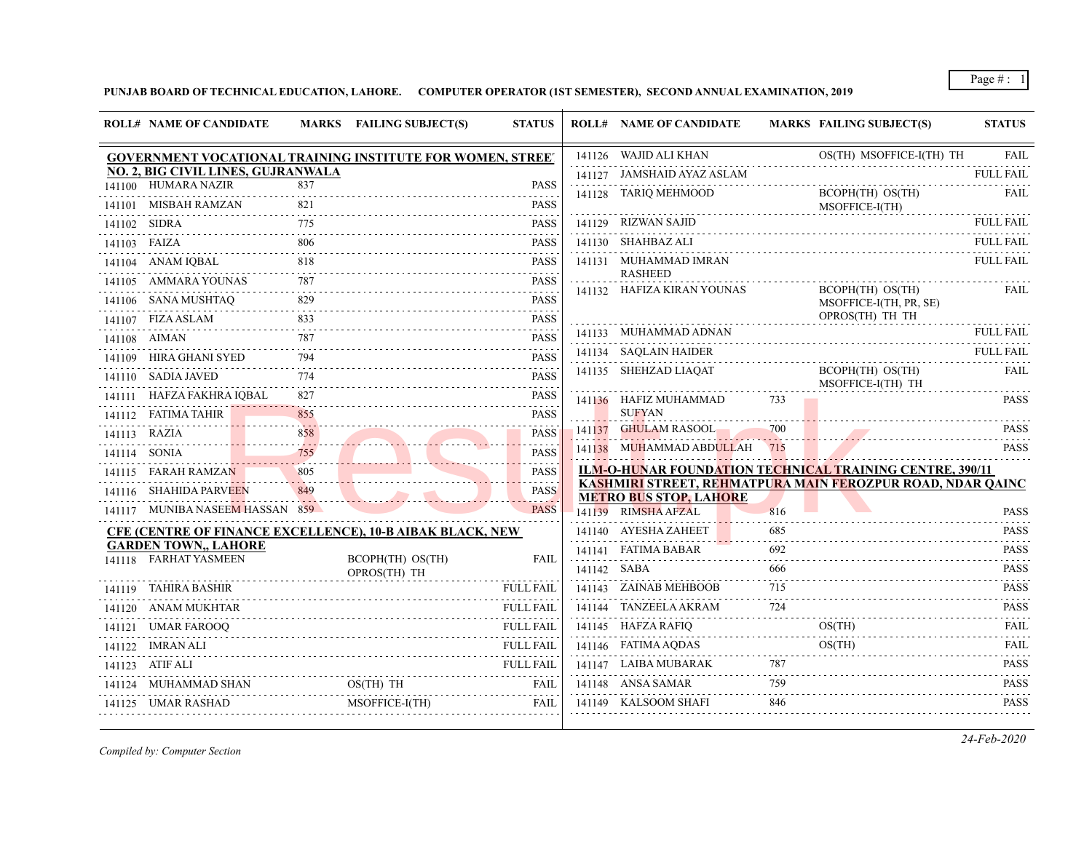**PUNJAB BOARD OF TECHNICAL EDUCATION, LAHORE. COMPUTER OPERATOR (1ST SEMESTER), SECOND ANNUAL EXAMINATION, 2019**

|              | <b>ROLL# NAME OF CANDIDATE</b>                             |            | MARKS FAILING SUBJECT(S)         | <b>STATUS</b>                |             | <b>ROLL# NAME OF CANDIDATE</b> |     | <b>MARKS FAILING SUBJECT(S)</b>                                 | <b>STATUS</b>                                                       |
|--------------|------------------------------------------------------------|------------|----------------------------------|------------------------------|-------------|--------------------------------|-----|-----------------------------------------------------------------|---------------------------------------------------------------------|
|              | GOVERNMENT VOCATIONAL TRAINING INSTITUTE FOR WOMEN, STREET |            |                                  |                              |             | 141126 WAJID ALI KHAN          |     | OS(TH) MSOFFICE-I(TH) TH                                        | <b>FAIL</b>                                                         |
|              | NO. 2, BIG CIVIL LINES, GUJRANWALA                         |            |                                  |                              |             | 141127 JAMSHAID AYAZ ASLAM     |     |                                                                 | <b>FULL FAIL</b><br>.                                               |
|              | 141100 HUMARA NAZIR<br>141101 MISBAH RAMZAN                | 837<br>821 |                                  | <b>PASS</b><br><b>PASS</b>   |             | 141128 TARIQ MEHMOOD           |     | BCOPH(TH) OS(TH)<br>MSOFFICE-I(TH)                              | FAIL                                                                |
|              | 141102 SIDRA                                               | 775        |                                  | <b>PASS</b>                  |             | 141129 RIZWAN SAJID            |     |                                                                 | <b>FULL FAIL</b>                                                    |
| 141103 FAIZA |                                                            | 806        |                                  | <b>PASS</b>                  |             | 141130 SHAHBAZ ALI             |     |                                                                 | ${\rm FULL \; FAIL}$                                                |
|              | 141104 ANAM IQBAL                                          |            |                                  | <b>PASS</b>                  |             | 141131 MUHAMMAD IMRAN          |     |                                                                 | <b>FULL FAIL</b>                                                    |
|              | 141105 AMMARA YOUNAS                                       | 787        |                                  | $- - - - - -$<br><b>PASS</b> |             | <b>RASHEED</b>                 |     |                                                                 |                                                                     |
|              | 141106 SANA MUSHTAQ                                        | 829        |                                  | <b>PASS</b>                  |             | 141132 HAFIZA KIRAN YOUNAS     |     | BCOPH(TH) OS(TH)<br>MSOFFICE-I(TH, PR, SE)                      | FAIL                                                                |
|              | 141107 FIZA ASLAM                                          | 833        |                                  | <b>PASS</b><br>.             |             |                                |     | OPROS(TH) TH TH                                                 |                                                                     |
|              | 141108 AIMAN                                               | 787        |                                  | <b>PASS</b>                  |             | 141133 MUHAMMAD ADNAN          |     |                                                                 | <b>FULL FAIL</b>                                                    |
|              | 141109 HIRA GHANI SYED                                     | 794        |                                  | .<br><b>PASS</b>             |             | 141134 SAQLAIN HAIDER          |     |                                                                 | <b>FULL FAIL</b>                                                    |
|              | 141110 SADIA JAVED                                         | 774        |                                  | <b>PASS</b>                  |             | 141135 SHEHZAD LIAOAT          |     | BCOPH(TH) OS(TH)<br>MSOFFICE-I(TH) TH                           | FAIL                                                                |
|              | 141111        HAFZA FAKHRA IQBAL                           |            |                                  | <b>PASS</b><br>.             |             | 141136 HAFIZ MUHAMMAD          | 733 |                                                                 | <b>PASS</b>                                                         |
|              | 141112 FATIMA TAHIR                                        |            |                                  | <b>PASS</b>                  |             | <b>SUFYAN</b>                  |     |                                                                 |                                                                     |
|              | 141113 RAZIA                                               | 858<br>.   |                                  | <b>PASS</b>                  |             | 141137 GHULAM RASOOL           | 700 |                                                                 | <b>PASS</b>                                                         |
|              | 141114 SONIA                                               | 755        |                                  | <b>PASS</b>                  |             | 141138 MUHAMMAD ABDULLAH 715   |     |                                                                 | <b>PASS</b>                                                         |
|              | 141115 FARAH RAMZAN                                        | 805        |                                  | <b>PASS</b>                  |             |                                |     | <b>ILM-O-HUNAR FOUNDATION TECHNICAL TRAINING CENTRE, 390/11</b> |                                                                     |
|              | 141116 SHAHIDA PARVEEN                                     | 849        |                                  | <b>PASS</b>                  |             | <b>METRO BUS STOP, LAHORE</b>  |     | KASHMIRI STREET, REHMATPURA MAIN FEROZPUR ROAD, NDAR QAINC      |                                                                     |
|              | 141117 MUNIBA NASEEM HASSAN 859                            |            |                                  | <b>PASS</b>                  |             | 141139 RIMSHA AFZAL            | 816 |                                                                 | <b>PASS</b>                                                         |
|              | CFE (CENTRE OF FINANCE EXCELLENCE), 10-B AIBAK BLACK, NEW  |            |                                  |                              |             | 141140 AYESHA ZAHEET           | 685 |                                                                 | <b>PASS</b>                                                         |
|              | <b>GARDEN TOWN., LAHORE</b><br>141118 FARHAT YASMEEN       |            |                                  | <b>FAIL</b>                  |             | 141141 FATIMA BABAR            | 692 |                                                                 | $\sim$ $\sim$ $\sim$ $\sim$ $\sim$ $\sim$<br><b>PASS</b>            |
|              |                                                            |            | BCOPH(TH) OS(TH)<br>OPROS(TH) TH |                              | 141142 SABA |                                | 666 |                                                                 | $- - - - - -$<br><b>PASS</b>                                        |
|              | 141119 TAHIRA BASHIR                                       |            |                                  | <b>FULL FAIL</b>             |             | 141143 ZAINAB MEHBOOB          | 715 |                                                                 | .<br><b>PASS</b>                                                    |
|              | 141120 ANAM MUKHTAR                                        |            |                                  | <b>FULL FAIL</b>             |             | 141144 TANZEELA AKRAM          | 724 |                                                                 | <b>PASS</b>                                                         |
|              | 141121 UMAR FAROOQ                                         |            |                                  | <b>FULL FAIL</b>             |             | 141145 HAFZA RAFIQ             |     | OS(TH)                                                          | <b>FAIL</b>                                                         |
|              | 141122 IMRAN ALI                                           |            |                                  |                              |             | 141146 FATIMA AQDAS            |     | OS(TH)                                                          | and a state<br><b>FAIL</b>                                          |
|              | 141123 ATIF ALI                                            |            |                                  | <b>FULL FAIL</b>             |             | 141147 LAIBA MUBARAK           | 787 |                                                                 | $\alpha$ , $\alpha$ , $\alpha$ , $\alpha$ , $\alpha$<br><b>PASS</b> |
|              | 141124 MUHAMMAD SHAN                                       |            | OS(TH) TH                        |                              |             | 141148 ANSA SAMAR              | 759 |                                                                 | <b>PASS</b>                                                         |
|              |                                                            |            |                                  |                              |             |                                |     |                                                                 | .                                                                   |

*Compiled by: Computer Section*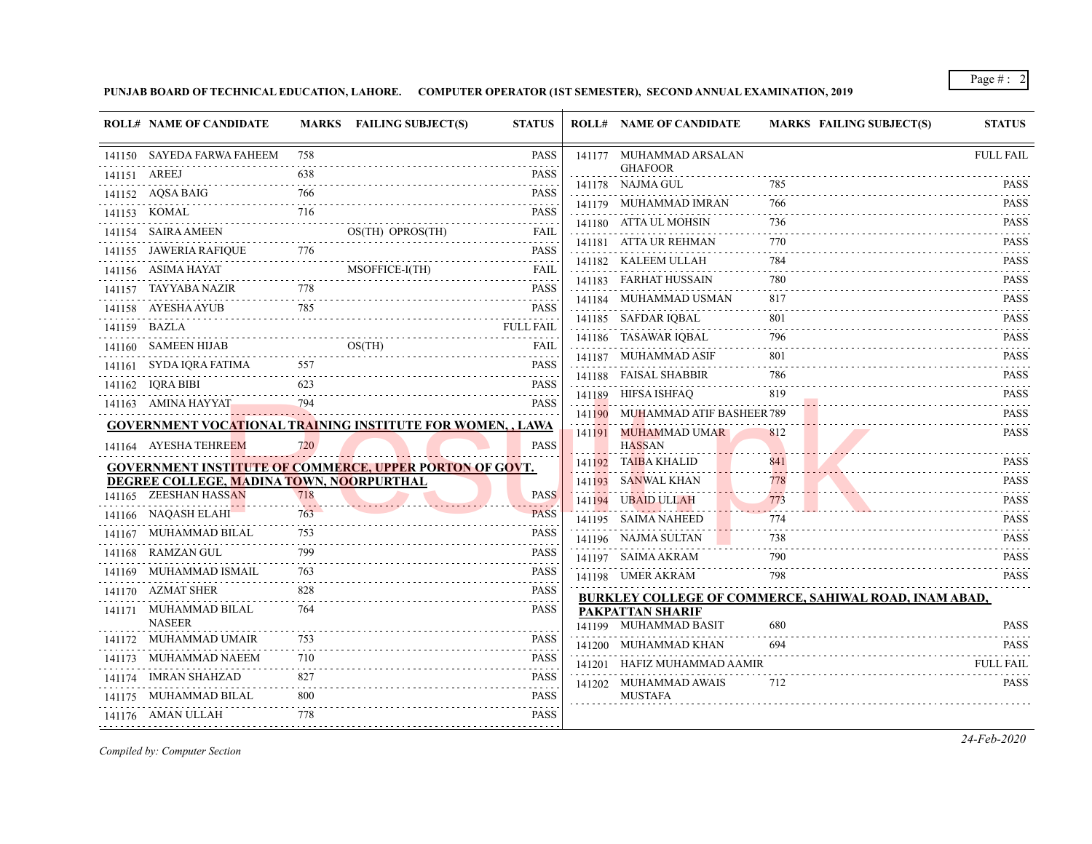**PUNJAB BOARD OF TECHNICAL EDUCATION, LAHORE. COMPUTER OPERATOR (1ST SEMESTER), SECOND ANNUAL EXAMINATION, 2019**

|              | <b>ROLL# NAME OF CANDIDATE</b>           |     | MARKS FAILING SUBJECT(S)<br><b>STATUS</b>                         |                              |        | <b>ROLL# NAME OF CANDIDATE</b>            | <b>MARKS FAILING SUBJECT(S)</b>                              | <b>STATUS</b>                                                       |
|--------------|------------------------------------------|-----|-------------------------------------------------------------------|------------------------------|--------|-------------------------------------------|--------------------------------------------------------------|---------------------------------------------------------------------|
|              | 141150 SAYEDA FARWA FAHEEM               | 758 |                                                                   | <b>PASS</b>                  |        | 141177 MUHAMMAD ARSALAN                   |                                                              | <b>FULL FAIL</b>                                                    |
| 141151 AREEJ |                                          | 638 |                                                                   | <b>PASS</b>                  |        | <b>GHAFOOR</b><br>141178 NAJMA GUL        | 785                                                          | <b>PASS</b>                                                         |
|              | 141152 AQSA BAIG                         | 766 |                                                                   | PASS                         |        | 141179 MUHAMMAD IMRAN                     | 766                                                          | <b>PASS</b>                                                         |
|              | 141153 KOMAL                             | 716 |                                                                   | <b>PASS</b>                  |        |                                           | 736                                                          | <b>PASS</b>                                                         |
|              | 141154 SAIRA AMEEN                       |     | OS(TH) OPROS(TH)                                                  | FAIL                         |        | 141180 ATTA UL MOHSIN                     |                                                              | $- - - - - -$                                                       |
|              | 141155 JAWERIA RAFIQUE                   | 776 |                                                                   | PASS                         |        | 141181 ATTA UR REHMAN                     | 770                                                          | <b>PASS</b>                                                         |
|              | 141156 ASIMA HAYAT                       |     | MSOFFICE-I(TH)                                                    | FAIL                         |        | 141182 KALEEM ULLAH                       | 784                                                          | <b>PASS</b>                                                         |
|              | 141157 TAYYABA NAZIR                     | 778 |                                                                   | $- - - - - -$<br><b>PASS</b> |        | 141183 FARHAT HUSSAIN                     | 780                                                          | <b>PASS</b>                                                         |
|              | 141158 AYESHA AYUB                       | 785 |                                                                   | .<br><b>PASS</b>             |        | 141184 MUHAMMAD USMAN                     | 817                                                          | <b>PASS</b>                                                         |
|              | 141159 BAZLA                             |     | .<br><b>FULL FAIL</b>                                             |                              |        | 141185 SAFDAR IQBAL                       | 801                                                          | <b>PASS</b>                                                         |
|              | 141160 SAMEEN HIJAB                      |     | OS(TH)                                                            | FAIL                         |        | 141186 TASAWAR IQBAL                      | 796                                                          | <b>PASS</b><br>$\alpha$ , $\alpha$ , $\alpha$ , $\alpha$ , $\alpha$ |
|              | 141161 – SYDA IQRA FATIMA                |     |                                                                   | PASS                         | 141187 | MUHAMMAD ASIF                             | 801                                                          | <b>PASS</b>                                                         |
|              | 141162 IQRA BIBI                         | 623 |                                                                   | PASS                         |        | 141188 FAISAL SHABBIR                     | 786                                                          | <b>PASS</b><br>.                                                    |
|              | 141163 AMINA HAYYAT                      | 794 |                                                                   | <b>PASS</b>                  |        | 141189 HIFSA ISHFAQ                       | 819                                                          | <b>PASS</b><br>.                                                    |
|              |                                          |     | <b>GOVERNMENT VOCATIONAL TRAINING INSTITUTE FOR WOMEN, , LAWA</b> |                              |        | 141190 MUHAMMAD ATIF BASHEER 789          |                                                              | <b>PASS</b>                                                         |
|              | 141164 AYESHA TEHREEM                    | 720 |                                                                   | <b>PASS</b>                  |        | 141191 MUHAMMAD UMAR<br><b>HASSAN</b>     | 812                                                          | <b>PASS</b>                                                         |
|              |                                          |     | <b>GOVERNMENT INSTITUTE OF COMMERCE, UPPER PORTON OF GOVT.</b>    |                              |        | 141192 TAIBA KHALID                       | 841                                                          | <b>PASS</b>                                                         |
|              | DEGREE COLLEGE, MADINA TOWN, NOORPURTHAL |     |                                                                   |                              |        | 141193 SANWAL KHAN                        | 778                                                          | <b>PASS</b>                                                         |
|              | 141165 ZEESHAN HASSAN                    | 718 |                                                                   | <b>PASS</b>                  |        | 141194 UBAID ULLAH                        | 773                                                          | <b>PASS</b>                                                         |
|              | 141166 NAQASH ELAHI                      | 763 |                                                                   | <b>PASS</b>                  |        | 141195 SAIMA NAHEED                       | 774                                                          | <b>PASS</b>                                                         |
|              | 141167 MUHAMMAD BILAL                    | 753 |                                                                   | PASS                         |        | 141196 NAJMA SULTAN                       | 738                                                          | <b>PASS</b>                                                         |
|              | 141168 RAMZAN GUL                        | 799 |                                                                   | <b>PASS</b>                  |        | 141197 SAIMA AKRAM                        | 790                                                          | <b>PASS</b>                                                         |
|              | 141169 MUHAMMAD ISMAIL                   | 763 |                                                                   | <b>PASS</b>                  |        | 141198 UMER AKRAM                         | 798                                                          | .<br><b>PASS</b>                                                    |
|              | 141170 AZMAT SHER                        | 828 |                                                                   | <b>PASS</b>                  |        |                                           | <b>BURKLEY COLLEGE OF COMMERCE, SAHIWAL ROAD, INAM ABAD,</b> |                                                                     |
|              | 141171 MUHAMMAD BILAL<br><b>NASEER</b>   | 764 |                                                                   | <b>PASS</b>                  |        | PAKPATTAN SHARIF<br>141199 MUHAMMAD BASIT | 680                                                          | <b>PASS</b>                                                         |
|              | 141172 MUHAMMAD UMAIR                    | 753 |                                                                   | <b>PASS</b>                  |        | 141200 MUHAMMAD KHAN                      | 694                                                          | <b>PASS</b>                                                         |
|              | 141173 MUHAMMAD NAEEM                    | 710 |                                                                   | <b>PASS</b>                  |        | 141201 HAFIZ MUHAMMAD AAMIR               |                                                              | <b>FULL FAIL</b>                                                    |
|              | 141174 IMRAN SHAHZAD                     | 827 |                                                                   | <b>PASS</b>                  |        |                                           | 712                                                          | .                                                                   |
|              | 141175 MUHAMMAD BILAL                    | 800 |                                                                   | .<br>PASS                    |        | 141202 MUHAMMAD AWAIS<br><b>MUSTAFA</b>   |                                                              | <b>PASS</b>                                                         |
|              | 141176 AMAN ULLAH                        | 778 |                                                                   | PASS                         |        |                                           |                                                              |                                                                     |
|              |                                          |     |                                                                   |                              |        |                                           |                                                              |                                                                     |

*Compiled by: Computer Section*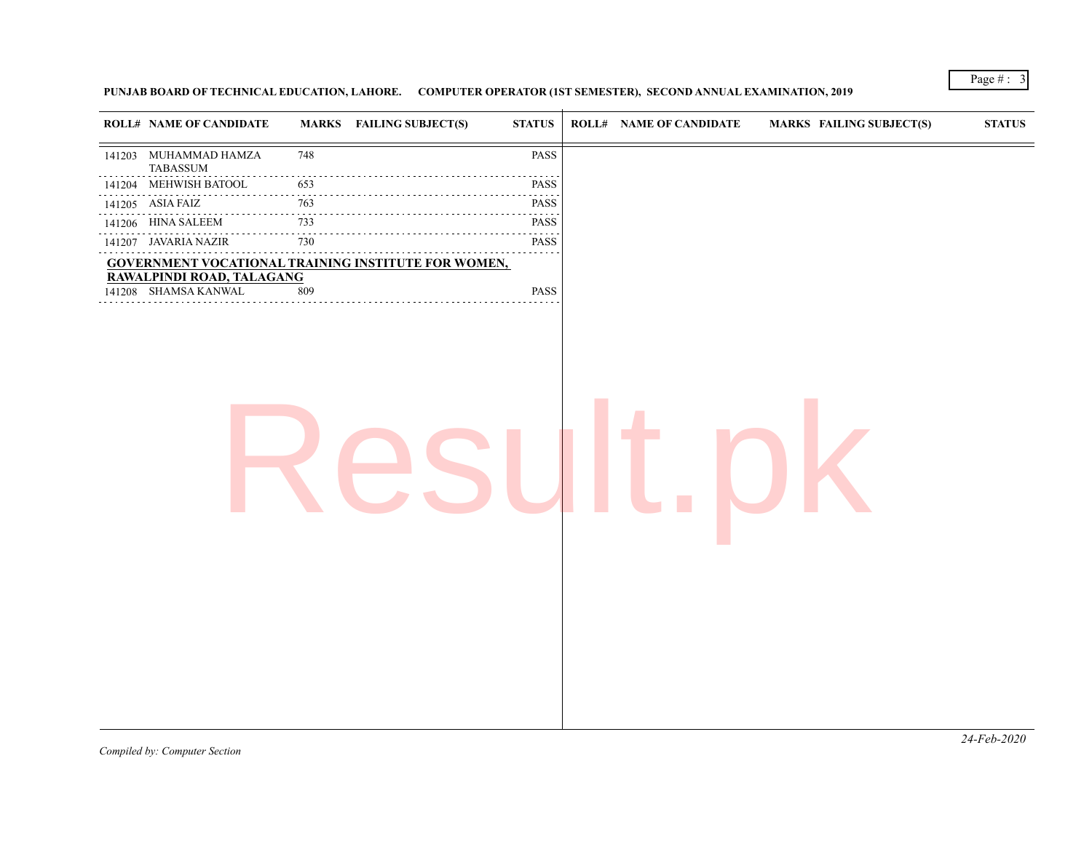## **PUNJAB BOARD OF TECHNICAL EDUCATION, LAHORE. COMPUTER OPERATOR (1ST SEMESTER), SECOND ANNUAL EXAMINATION, 2019**

| 141203 MUHAMMAD HAMZA<br>PASS<br>748<br><b>TABASSUM</b><br>141204 MEHWISH BATOOL<br>653<br><b>PASS</b><br>$\sim$ $\sim$ $\sim$ $\sim$<br>.<br>PASS<br>141205 ASIA FAIZ<br>763<br>141206 HINA SALEEM<br>733<br>PASS<br>$\sim$ $\sim$ $\sim$<br>730<br>141207 JAVARIA NAZIR<br><b>PASS</b><br>.<br><b>GOVERNMENT VOCATIONAL TRAINING INSTITUTE FOR WOMEN,</b><br>RAWALPINDI ROAD, TALAGANG<br>141208 SHAMSA KANWAL<br>PASS<br>809 |  | <b>ROLL# NAME OF CANDIDATE</b> | <b>MARKS</b> FAILING SUBJECT(S) | <b>STATUS</b> | <b>ROLL# NAME OF CANDIDATE</b> | <b>MARKS FAILING SUBJECT(S)</b> | <b>STATUS</b> |
|---------------------------------------------------------------------------------------------------------------------------------------------------------------------------------------------------------------------------------------------------------------------------------------------------------------------------------------------------------------------------------------------------------------------------------|--|--------------------------------|---------------------------------|---------------|--------------------------------|---------------------------------|---------------|
|                                                                                                                                                                                                                                                                                                                                                                                                                                 |  |                                |                                 |               |                                |                                 |               |
|                                                                                                                                                                                                                                                                                                                                                                                                                                 |  |                                |                                 |               |                                |                                 |               |
|                                                                                                                                                                                                                                                                                                                                                                                                                                 |  |                                |                                 |               |                                |                                 |               |
|                                                                                                                                                                                                                                                                                                                                                                                                                                 |  |                                |                                 |               |                                |                                 |               |
|                                                                                                                                                                                                                                                                                                                                                                                                                                 |  |                                |                                 |               |                                |                                 |               |
|                                                                                                                                                                                                                                                                                                                                                                                                                                 |  |                                |                                 |               |                                |                                 |               |
|                                                                                                                                                                                                                                                                                                                                                                                                                                 |  |                                |                                 |               |                                |                                 |               |
|                                                                                                                                                                                                                                                                                                                                                                                                                                 |  |                                |                                 |               |                                |                                 |               |
|                                                                                                                                                                                                                                                                                                                                                                                                                                 |  |                                |                                 |               |                                |                                 |               |
|                                                                                                                                                                                                                                                                                                                                                                                                                                 |  |                                |                                 |               |                                |                                 |               |
|                                                                                                                                                                                                                                                                                                                                                                                                                                 |  |                                |                                 |               |                                |                                 |               |

Page # : 3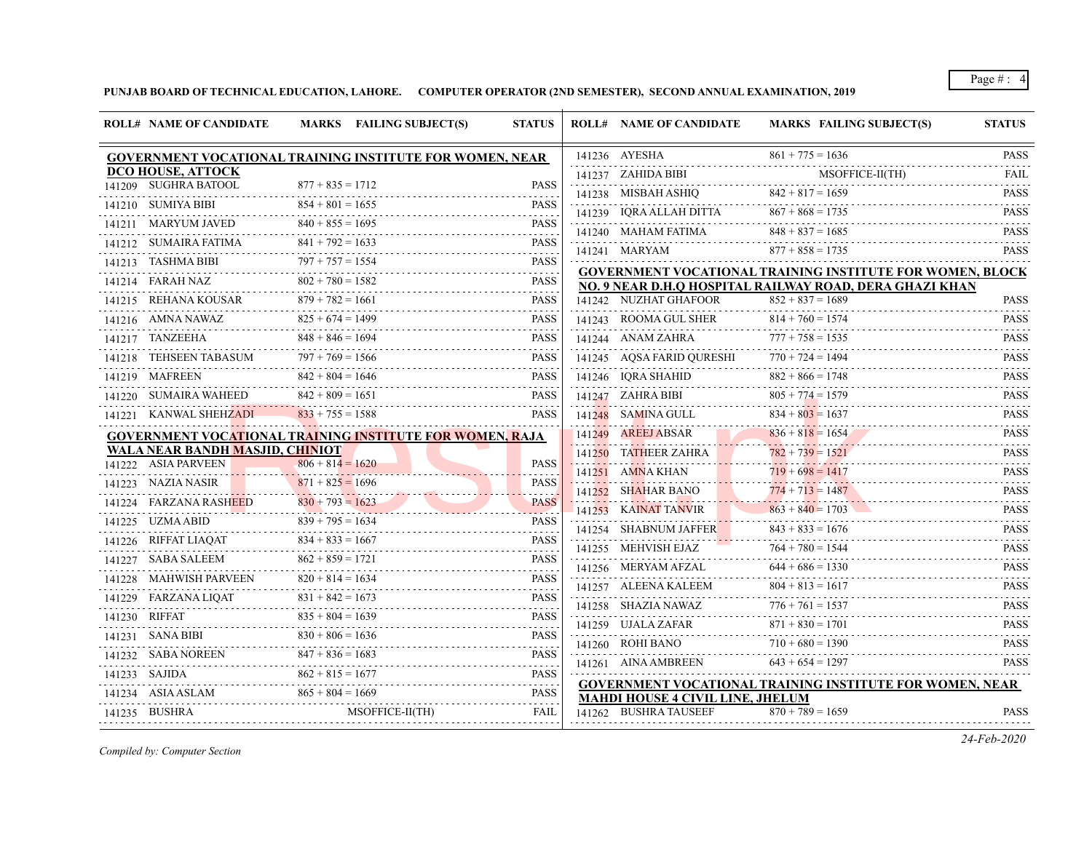**PUNJAB BOARD OF TECHNICAL EDUCATION, LAHORE. COMPUTER OPERATOR (2ND SEMESTER), SECOND ANNUAL EXAMINATION, 2019**

|        | <b>ROLL# NAME OF CANDIDATE</b>  | MARKS FAILING SUBJECT(S)                                        | <b>STATUS</b>                                     | <b>ROLL# NAME OF CANDIDATE</b>          | <b>MARKS FAILING SUBJECT(S)</b>                                  | <b>STATUS</b>                                                                                                                                                                                                                                                                                                                                                                                                                                                                                         |
|--------|---------------------------------|-----------------------------------------------------------------|---------------------------------------------------|-----------------------------------------|------------------------------------------------------------------|-------------------------------------------------------------------------------------------------------------------------------------------------------------------------------------------------------------------------------------------------------------------------------------------------------------------------------------------------------------------------------------------------------------------------------------------------------------------------------------------------------|
|        |                                 | <b>GOVERNMENT VOCATIONAL TRAINING INSTITUTE FOR WOMEN, NEAR</b> |                                                   | 141236 AYESHA                           | $861 + 775 = 1636$                                               | <b>PASS</b>                                                                                                                                                                                                                                                                                                                                                                                                                                                                                           |
|        | <b>DCO HOUSE, ATTOCK</b>        |                                                                 |                                                   | 141237 ZAHIDA BIBI                      | MSOFFICE-II(TH)                                                  | <b>FAIL</b>                                                                                                                                                                                                                                                                                                                                                                                                                                                                                           |
|        | 141209 SUGHRA BATOOL            | $877 + 835 = 1712$                                              | <b>PASS</b><br>د د د د د                          | 141238 MISBAH ASHIQ                     | $842 + 817 = 1659$                                               | <b>PASS</b>                                                                                                                                                                                                                                                                                                                                                                                                                                                                                           |
|        | 141210 SUMIYA BIBI              | $854 + 801 = 1655$                                              | <b>PASS</b>                                       | 141239 IORA ALLAH DITTA                 | $867 + 868 = 1735$                                               | .<br><b>PASS</b>                                                                                                                                                                                                                                                                                                                                                                                                                                                                                      |
|        | 141211 MARYUM JAVED             | $840 + 855 = 1695$                                              | <b>PASS</b>                                       | 141240 MAHAM FATIMA                     | $848 + 837 = 1685$                                               | $\begin{array}{cccccccccccccc} \multicolumn{2}{c}{} & \multicolumn{2}{c}{} & \multicolumn{2}{c}{} & \multicolumn{2}{c}{} & \multicolumn{2}{c}{} & \multicolumn{2}{c}{} & \multicolumn{2}{c}{} & \multicolumn{2}{c}{} & \multicolumn{2}{c}{} & \multicolumn{2}{c}{} & \multicolumn{2}{c}{} & \multicolumn{2}{c}{} & \multicolumn{2}{c}{} & \multicolumn{2}{c}{} & \multicolumn{2}{c}{} & \multicolumn{2}{c}{} & \multicolumn{2}{c}{} & \multicolumn{2}{c}{} & \multicolumn{2}{c}{} & \$<br><b>PASS</b> |
|        | 141212 SUMAIRA FATIMA           | $841 + 792 = 1633$                                              | <b>PASS</b><br>.                                  | 141241 MARYAM                           | $877 + 858 = 1735$                                               | <b>PASS</b>                                                                                                                                                                                                                                                                                                                                                                                                                                                                                           |
| 141213 | TASHMA BIBI                     | $797 + 757 = 1554$<br>.                                         | <b>PASS</b><br>$\sim$ $\sim$ $\sim$ $\sim$ $\sim$ |                                         | <b>GOVERNMENT VOCATIONAL TRAINING INSTITUTE FOR WOMEN, BLOCK</b> |                                                                                                                                                                                                                                                                                                                                                                                                                                                                                                       |
|        | 141214 FARAH NAZ                | $802 + 780 = 1582$                                              | <b>PASS</b>                                       |                                         | NO. 9 NEAR D.H.Q HOSPITAL RAILWAY ROAD, DERA GHAZI KHAN          |                                                                                                                                                                                                                                                                                                                                                                                                                                                                                                       |
|        | 141215 REHANA KOUSAR            | $879 + 782 = 1661$<br>.                                         | <b>PASS</b>                                       | 141242 NUZHAT GHAFOOR                   | $852 + 837 = 1689$                                               | <b>PASS</b>                                                                                                                                                                                                                                                                                                                                                                                                                                                                                           |
|        | 141216 AMNA NAWAZ               | $825 + 674 = 1499$                                              | <b>PASS</b>                                       | 141243 ROOMA GUL SHER                   | $814 + 760 = 1574$                                               | <b>PASS</b><br>.                                                                                                                                                                                                                                                                                                                                                                                                                                                                                      |
|        | 141217 TANZEEHA                 | $848 + 846 = 1694$                                              | <b>PASS</b>                                       | 141244 ANAM ZAHRA                       | $777 + 758 = 1535$                                               | <b>PASS</b><br>.                                                                                                                                                                                                                                                                                                                                                                                                                                                                                      |
|        | 141218 TEHSEEN TABASUM          | $797 + 769 = 1566$<br>.                                         | <b>PASS</b><br>.                                  | 141245 AQSA FARID QURESHI               | $770 + 724 = 1494$                                               | <b>PASS</b>                                                                                                                                                                                                                                                                                                                                                                                                                                                                                           |
|        | 141219 MAFREEN                  | $842 + 804 = 1646$                                              | <b>PASS</b>                                       | 141246 IORA SHAHID                      | $882 + 866 = 1748$                                               | <b>PASS</b>                                                                                                                                                                                                                                                                                                                                                                                                                                                                                           |
|        | 141220 SUMAIRA WAHEED           | $842 + 809 = 1651$                                              | <b>PASS</b>                                       | 141247 ZAHRA BIBI                       | $805 + 774 = 1579$                                               | <b>PASS</b>                                                                                                                                                                                                                                                                                                                                                                                                                                                                                           |
|        | 141221 KANWAL SHEHZADI          | $833 + 755 = 1588$                                              | <b>PASS</b>                                       | 141248 SAMINA GULL                      | $834 + 803 = 1637$                                               | .<br><b>PASS</b>                                                                                                                                                                                                                                                                                                                                                                                                                                                                                      |
|        |                                 | GOVERNMENT VOCATIONAL TRAINING INSTITUTE FOR WOMEN, RAJA        |                                                   | 141249 AREEJ ABSAR                      | $836 + 818 = 1654$                                               | <b>PASS</b>                                                                                                                                                                                                                                                                                                                                                                                                                                                                                           |
|        | WALA NEAR BANDH MASJID, CHINIOT |                                                                 |                                                   | 141250 TATHEER ZAHRA                    | $782 + 739 = 1521$                                               | .<br><b>PASS</b>                                                                                                                                                                                                                                                                                                                                                                                                                                                                                      |
|        | 141222 ASIA PARVEEN             | $806 + 814 = 1620$                                              | <b>PASS</b>                                       | 141251 AMNA KHAN                        | $719 + 698 = 1417$                                               | $\omega$ is a second or $\omega$<br><b>PASS</b>                                                                                                                                                                                                                                                                                                                                                                                                                                                       |
|        | 141223 NAZIA NASIR              | $871 + 825 = 1696$<br>.                                         | <b>PASS</b><br>.                                  | 141252 SHAHAR BANO                      | $774 + 713 = 1487$                                               | <b>PASS</b>                                                                                                                                                                                                                                                                                                                                                                                                                                                                                           |
|        | 141224 FARZANA RASHEED          | $830 + 793 = 1623$<br>.                                         | <b>PASS</b><br>. <i>. .</i>                       | 141253 KAINAT TANVIR                    | .<br>$863 + 840 = 1703$                                          | .<br><b>PASS</b>                                                                                                                                                                                                                                                                                                                                                                                                                                                                                      |
|        | 141225 UZMA ABID                | $839 + 795 = 1634$                                              | <b>PASS</b>                                       | 141254 SHABNUM JAFFER                   | $843 + 833 = 1676$                                               | .<br><b>PASS</b>                                                                                                                                                                                                                                                                                                                                                                                                                                                                                      |
|        | 141226 RIFFAT LIAQAT            | $834 + 833 = 1667$                                              | <b>PASS</b>                                       | 141255 MEHVISH EJAZ                     | $764 + 780 = 1544$                                               | .<br><b>PASS</b>                                                                                                                                                                                                                                                                                                                                                                                                                                                                                      |
|        | 141227 SABA SALEEM              | $862 + 859 = 1721$                                              | <b>PASS</b><br>.                                  | 141256 MERYAM AFZAL                     | $644 + 686 = 1330$                                               | <b>PASS</b>                                                                                                                                                                                                                                                                                                                                                                                                                                                                                           |
|        | 141228 MAHWISH PARVEEN          | $820 + 814 = 1634$                                              | <b>PASS</b><br>.                                  | 141257 ALEENA KALEEM                    | $804 + 813 = 1617$                                               | .<br><b>PASS</b>                                                                                                                                                                                                                                                                                                                                                                                                                                                                                      |
|        | 141229 FARZANA LIQAT            | $831 + 842 = 1673$                                              | <b>PASS</b>                                       | 141258 SHAZIA NAWAZ                     | $776 + 761 = 1537$                                               | .<br><b>PASS</b>                                                                                                                                                                                                                                                                                                                                                                                                                                                                                      |
|        | 141230 RIFFAT                   | $835 + 804 = 1639$                                              | <b>PASS</b>                                       | 141259 UJALA ZAFAR                      | $871 + 830 = 1701$                                               | $-1 - 1 - 1 - 1$<br><b>PASS</b>                                                                                                                                                                                                                                                                                                                                                                                                                                                                       |
|        | 141231 SANA BIBI                | $830 + 806 = 1636$                                              | <b>PASS</b>                                       | 141260 ROHI BANO                        | $710 + 680 = 1390$                                               | <b>PASS</b>                                                                                                                                                                                                                                                                                                                                                                                                                                                                                           |
|        |                                 | $847 + 836 = 1683$                                              | .<br><b>PASS</b>                                  | 141261 AINA AMBREEN                     | $643 + 654 = 1297$                                               | <b>PASS</b>                                                                                                                                                                                                                                                                                                                                                                                                                                                                                           |
|        | 141233 SAJIDA                   | $862 + 815 = 1677$                                              | .<br><b>PASS</b>                                  |                                         |                                                                  |                                                                                                                                                                                                                                                                                                                                                                                                                                                                                                       |
|        | 141234 ASIA ASLAM               | $865 + 804 = 1669$                                              | .<br><b>PASS</b>                                  | <b>MAHDI HOUSE 4 CIVIL LINE, JHELUM</b> | GOVERNMENT VOCATIONAL TRAINING INSTITUTE FOR WOMEN, NEAR         |                                                                                                                                                                                                                                                                                                                                                                                                                                                                                                       |
|        | 141235 BUSHRA                   | MSOFFICE-II(TH)                                                 | <b>FAIL</b>                                       | 141262 BUSHRA TAUSEEF                   | $870 + 789 = 1659$                                               | <b>PASS</b>                                                                                                                                                                                                                                                                                                                                                                                                                                                                                           |

*Compiled by: Computer Section*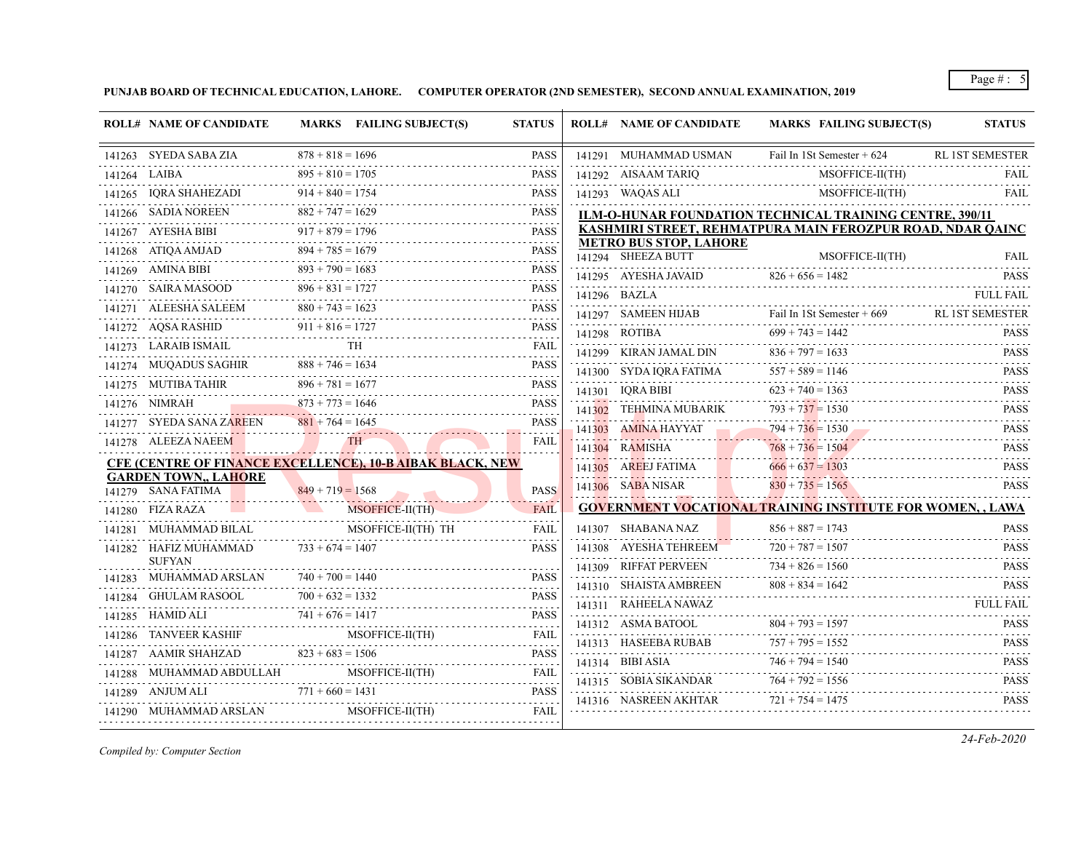**PUNJAB BOARD OF TECHNICAL EDUCATION, LAHORE. COMPUTER OPERATOR (2ND SEMESTER), SECOND ANNUAL EXAMINATION, 2019**

| <b>ROLL# NAME OF CANDIDATE</b>                            | MARKS FAILING SUBJECT(S)                                                                                                                                              | <b>STATUS</b> | <b>ROLL# NAME OF CANDIDATE</b> | MARKS FAILING SUBJECT(S)                                                          | <b>STATUS</b>                                 |
|-----------------------------------------------------------|-----------------------------------------------------------------------------------------------------------------------------------------------------------------------|---------------|--------------------------------|-----------------------------------------------------------------------------------|-----------------------------------------------|
|                                                           | $878 + 818 = 1696$<br>141263 SYEDA SABA ZIA $878 + 818 = 1696$ PASS                                                                                                   | <b>PASS</b>   | 141291 MUHAMMAD USMAN          | Fail In 1St Semester + 624                                                        | <b>RL 1ST SEMESTER</b>                        |
| 141264 LAIBA                                              | $895 + 810 = 1705$<br>141264 LAIBA $895 + 810 = 1705$ PASS                                                                                                            | <b>PASS</b>   |                                | 141292 AISAAM TARIQ MSOFFICE-II(TH) FAIL                                          |                                               |
|                                                           | 141265 IQRA SHAHEZADI 914 + 840 = 1754 PASS                                                                                                                           | <b>PASS</b>   |                                | 141293 WAQAS ALI MSOFFICE-II(TH)                                                  | <b>FAIL</b>                                   |
|                                                           | 141266 SADIA NOREEN $882 + 747 = 1629$ PASS                                                                                                                           | <b>PASS</b>   |                                | <b>ILM-O-HUNAR FOUNDATION TECHNICAL TRAINING CENTRE, 390/11</b>                   |                                               |
|                                                           | 141267 AYESHA BIBI $917 + 879 = 1796$ PASS                                                                                                                            |               |                                | KASHMIRI STREET, REHMATPURA MAIN FEROZPUR ROAD, NDAR QAINC                        |                                               |
|                                                           |                                                                                                                                                                       |               | <b>METRO BUS STOP, LAHORE</b>  |                                                                                   |                                               |
|                                                           | 141268 ATIQA AMJAD 894 + 785 = 1679 PASS<br>141269 AMINA BIBI 893 + 790 = 1683 PASS                                                                                   |               |                                | 141294 SHEEZA BUTT MSOFFICE-II(TH) FAIL                                           |                                               |
|                                                           | 141270 SAIRA MASOOD 896 + 831 = 1727 PASS                                                                                                                             |               | 141296 BAZLA                   | 141295 AYESHA JAVAID $826 + 656 = 1482$ PASS                                      | <b>FULL FAIL</b>                              |
|                                                           | 141271 ALEESHA SALEEM $880 + 743 = 1623$ PASS                                                                                                                         |               |                                | 141296 BAZLA FULL FAIL                                                            |                                               |
|                                                           | 141272 AQSA RASHID 911 + 816 = 1727 PASS                                                                                                                              |               |                                | 141297 SAMEEN HIJAB Fail In 1St Semester + 669 RL 1ST SEMESTER                    |                                               |
|                                                           | $\begin{tabular}{ll} \bf 141273 & LARAIB ISMAIL & TH & FAIL \\ \hline \end{tabular}$                                                                                  |               |                                | 141298 ROTIBA $699 + 743 = 1442$ PASS                                             |                                               |
|                                                           | 141274 MUQADUS SAGHIR $888 + 746 = 1634$ PASS                                                                                                                         |               |                                | 141299 KIRAN JAMAL DIN 836 + 797 = 1633 PASS PASS                                 |                                               |
|                                                           |                                                                                                                                                                       |               | 141301 IQRA BIBI               | 141300 SYDA IQRA FATIMA $557 + 589 = 1146$ PASS                                   |                                               |
|                                                           | $141275 \t\t\tMUTIBA TAHIR \t\t\t\t896 + 781 = 1677 \t\t\tPASS141276 \t\tNIMRAH \t\t\t873 + 773 = 1646 \t\t\tPASS141276 \t\tNIMRAH \t\t\t873 + 773 = 1646 \t\t\tPASS$ |               | 141302 TEHMINA MUBARIK         | $623 + 740 = 1363$ PASS                                                           |                                               |
|                                                           | 141277 SYEDA SANA ZAREEN $881 + 764 = 1645$ PASS                                                                                                                      |               | 141303 AMINA HAYYAT            | 141302 TEHMINA MUBARIK $793 + 737 = 1530$ PASS PASS                               |                                               |
|                                                           | 141278 ALEEZA NAEEM TH                                                                                                                                                | FAIL          |                                | $794 + 736 = 1530$ PASS                                                           |                                               |
|                                                           | <b>CFE (CENTRE OF FINANCE EXCELLENCE), 10-B AIBAK BLACK, NEW</b>                                                                                                      |               |                                | 141304 RAMISHA $768 + 736 = 1504$ PASS                                            |                                               |
| <b>GARDEN TOWN,, LAHORE</b>                               |                                                                                                                                                                       |               |                                | 141305 AREEJ FATIMA $666 + 637 = 1303$ PASS<br>141306 SABA NISAR 830 + 735 = 1565 | <b>PASS</b>                                   |
| 141279 SANA FATIMA                                        | $849 + 719 = 1568$                                                                                                                                                    | <b>PASS</b>   |                                | <b>GOVERNMENT VOCATIONAL TRAINING INSTITUTE FOR WOMEN,, LAWA</b>                  |                                               |
| 141280 FIZA RAZA                                          | 11280 FIZA RAZA MSOFFICE-II(TH) FAIL                                                                                                                                  | <b>FAIL</b>   |                                |                                                                                   |                                               |
|                                                           |                                                                                                                                                                       | FAIL          | 141307 SHABANA NAZ             | $856 + 887 = 1743$                                                                | <b>PASS</b>                                   |
| 141282 HAFIZ MUHAMMAD $733 + 674 = 1407$<br><b>SUFYAN</b> |                                                                                                                                                                       | <b>PASS</b>   | 141308 AYESHA TEHREEM          | $720 + 787 = 1507$<br>141308 AYESHA TEHREEM $720 + 787 = 1507$ PASS               |                                               |
| 141283 MUHAMMAD ARSLAN $740 + 700 = 1440$                 | 41283 MUHAMMAD ARSLAN 740 + 700 = 1440 PASS                                                                                                                           |               | 141309 RIFFAT PERVEEN          | $734 + 826 = 1560$<br>141309 RIFFAT PERVEEN $734 + 826 = 1560$ PASS               |                                               |
|                                                           | 141284 GHULAM RASOOL $700 + 632 = 1332$ PASS                                                                                                                          |               |                                | 141310 SHAISTA AMBREEN $808 + 834 = 1642$ PASS PASS                               |                                               |
|                                                           | 141285 HAMID ALI $741 + 676 = 1417$ PASS                                                                                                                              |               |                                | 141311 RAHEELA NAWAZ FULL FAIL FULL FAIL FULL FAIL                                |                                               |
|                                                           | 141286 TANVEER KASHIF MSOFFICE-II(TH) FAIL                                                                                                                            |               |                                | 141312 ASMA BATOOL $804 + 793 = 1597$ PASS                                        |                                               |
|                                                           | 141287 AAMIR SHAHZAD $823 + 683 = 1506$ PASS                                                                                                                          |               |                                | 141313 HASEEBA RUBAB $757 + 795 = 1552$ PASS                                      |                                               |
|                                                           | 141288 MUHAMMAD ABDULLAH MSOFFICE-II(TH) FAIL                                                                                                                         |               |                                | 141314 BIBI ASIA $746 + 794 = 1540$ PASS                                          |                                               |
| 141289 ANJUM ALI                                          | 41289 ANJUM ALI $771 + 660 = 1431$ PASS                                                                                                                               | <b>PASS</b>   |                                | 141315 SOBIA SIKANDAR $764 + 792 = 1556$ PASS                                     |                                               |
|                                                           | 141290 MUHAMMAD ARSLAN MSOFFICE-II(TH) FAIL                                                                                                                           |               | 141316 NASREEN AKHTAR          | $721 + 754 = 1475$                                                                | and the company of the company<br><b>PASS</b> |

*Compiled by: Computer Section*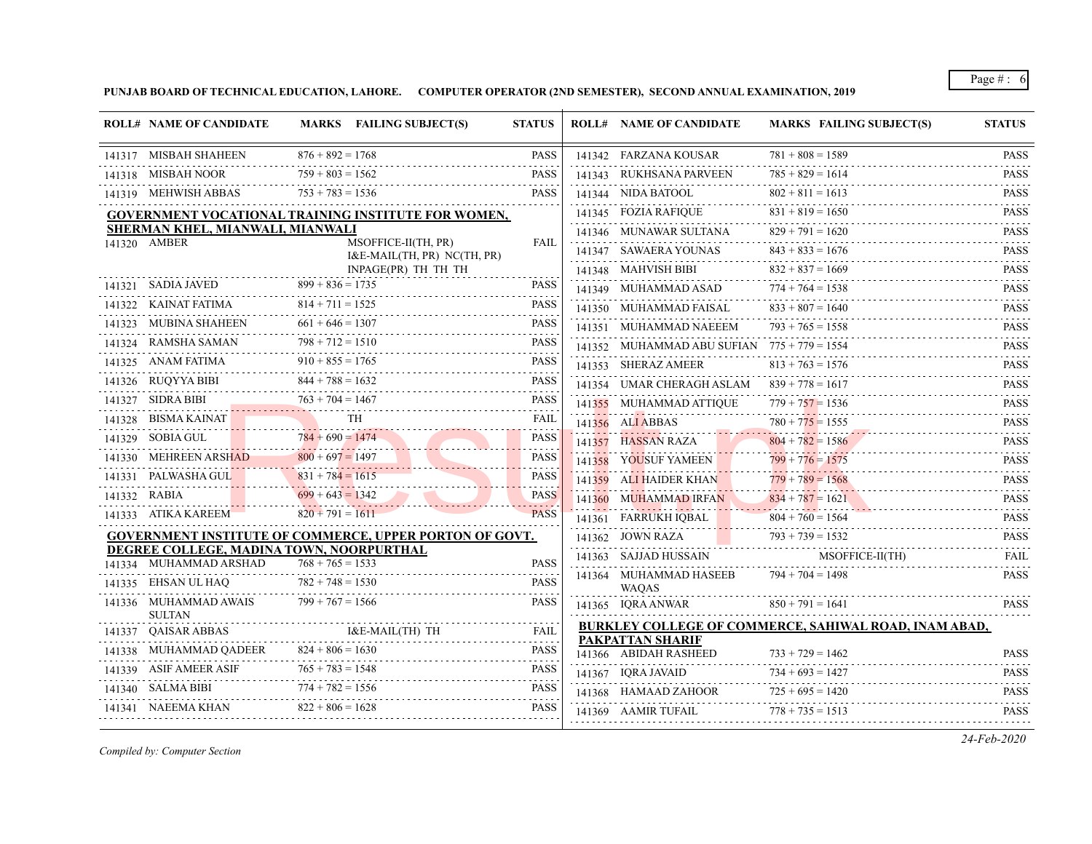**PUNJAB BOARD OF TECHNICAL EDUCATION, LAHORE. COMPUTER OPERATOR (2ND SEMESTER), SECOND ANNUAL EXAMINATION, 2019**

| <b>ROLL# NAME OF CANDIDATE</b>                                     |                                    | MARKS FAILING SUBJECT(S)                                   | <b>STATUS</b>                                                                                                                                                                                                                                                                                                                                                                                                                                       | <b>ROLL# NAME OF CANDIDATE</b>                | <b>MARKS FAILING SUBJECT(S)</b>                       | <b>STATUS</b>                  |
|--------------------------------------------------------------------|------------------------------------|------------------------------------------------------------|-----------------------------------------------------------------------------------------------------------------------------------------------------------------------------------------------------------------------------------------------------------------------------------------------------------------------------------------------------------------------------------------------------------------------------------------------------|-----------------------------------------------|-------------------------------------------------------|--------------------------------|
| 141317 MISBAH SHAHEEN                                              | $876 + 892 = 1768$                 |                                                            | <b>PASS</b>                                                                                                                                                                                                                                                                                                                                                                                                                                         | 141342 FARZANA KOUSAR                         | $781 + 808 = 1589$                                    | <b>PASS</b>                    |
| 141318 MISBAH NOOR                                                 | .<br>$759 + 803 = 1562$            |                                                            | <b>PASS</b>                                                                                                                                                                                                                                                                                                                                                                                                                                         | 141343 RUKHSANA PARVEEN                       | $785 + 829 = 1614$                                    | .<br><b>PASS</b>               |
| 141319 MEHWISH ABBAS                                               | $753 + 783 = 1536$                 |                                                            | <b>PASS</b>                                                                                                                                                                                                                                                                                                                                                                                                                                         | 141344 NIDA BATOOL                            | $802 + 811 = 1613$                                    | <b>PASS</b>                    |
|                                                                    |                                    | <b>GOVERNMENT VOCATIONAL TRAINING INSTITUTE FOR WOMEN,</b> |                                                                                                                                                                                                                                                                                                                                                                                                                                                     | 141345 FOZIA RAFIQUE                          | $831 + 819 = 1650$                                    | 2.2.2.2.2.1<br><b>PASS</b>     |
| SHERMAN KHEL, MIANWALI, MIANWALI                                   |                                    |                                                            |                                                                                                                                                                                                                                                                                                                                                                                                                                                     | 141346 MUNAWAR SULTANA                        | $829 + 791 = 1620$                                    | <b>PASS</b><br><u>.</u>        |
| 141320 AMBER                                                       |                                    | MSOFFICE-II(TH, PR)<br>I&E-MAIL(TH, PR) NC(TH, PR)         | <b>FAIL</b>                                                                                                                                                                                                                                                                                                                                                                                                                                         | 141347 SAWAERA YOUNAS                         | $843 + 833 = 1676$                                    | <b>PASS</b>                    |
|                                                                    |                                    | INPAGE(PR) TH TH TH                                        |                                                                                                                                                                                                                                                                                                                                                                                                                                                     | 141348 MAHVISH BIBI                           | $832 + 837 = 1669$                                    | .<br><b>PASS</b>               |
| 141321 SADIA JAVED                                                 | $899 + 836 = 1735$                 |                                                            | <b>PASS</b>                                                                                                                                                                                                                                                                                                                                                                                                                                         | 141349 MUHAMMAD ASAD                          | $774 + 764 = 1538$                                    | والمالم لمالمان<br><b>PASS</b> |
| 141322 KAINAT FATIMA                                               | $814 + 711 = 1525$                 |                                                            | <b>PASS</b>                                                                                                                                                                                                                                                                                                                                                                                                                                         | 141350 MUHAMMAD FAISAL                        | $833 + 807 = 1640$                                    | <b>PASS</b>                    |
| 141323 MUBINA SHAHEEN                                              | $661 + 646 = 1307$                 |                                                            | <b>PASS</b>                                                                                                                                                                                                                                                                                                                                                                                                                                         | 141351 MUHAMMAD NAEEEM                        | $793 + 765 = 1558$                                    | <b>PASS</b>                    |
| 141324 RAMSHA SAMAN<br>KAMSHA SAMAN                                | $798 + 712 = 1510$<br>.            |                                                            | <b>PASS</b>                                                                                                                                                                                                                                                                                                                                                                                                                                         | 141352 MUHAMMAD ABU SUFIAN $775 + 779 = 1554$ |                                                       | 2.2.2.2.2.3<br><b>PASS</b>     |
| 141325 ANAM FATIMA                                                 | $910 + 855 = 1765$                 |                                                            | <b>PASS</b>                                                                                                                                                                                                                                                                                                                                                                                                                                         | 141353 SHERAZ AMEER                           | $813 + 763 = 1576$                                    | .<br><b>PASS</b>               |
| 141326 RUQYYA BIBI                                                 | $844 + 788 = 1632$                 |                                                            | <b>PASS</b>                                                                                                                                                                                                                                                                                                                                                                                                                                         | 141354 UMAR CHERAGH ASLAM $839 + 778 = 1617$  |                                                       | $- - - - - -$<br><b>PASS</b>   |
| 141327 SIDRA BIBI                                                  | $763 + 704 = 1467$                 |                                                            | <b>PASS</b>                                                                                                                                                                                                                                                                                                                                                                                                                                         | 141355 MUHAMMAD ATTIQUE                       | $779 + 757 = 1536$                                    | <b>PASS</b>                    |
| 141328 BISMA KAINAT                                                |                                    | <b>TH</b>                                                  | <b>FAIL</b>                                                                                                                                                                                                                                                                                                                                                                                                                                         | 141356 ALI ABBAS                              | $780 + 775 = 1555$                                    | <b>PASS</b>                    |
| 141329 SOBIA GUL                                                   | $784 + 690 = 1474$<br>. . <i>.</i> |                                                            | <b>PASS</b><br>.                                                                                                                                                                                                                                                                                                                                                                                                                                    | 141357 HASSAN RAZA                            | 2. <u>.</u><br>$804 + 782 = 1586$                     | 2.2.2.2.2.1<br><b>PASS</b>     |
| 141330 MEHREEN ARSHAD                                              | $800 + 697 = 1497$                 |                                                            | <b>PASS</b>                                                                                                                                                                                                                                                                                                                                                                                                                                         | 141358 YOUSUF YAMEEN                          | $799 + 776 = 1575$                                    | 1.1.1.1.1.1<br><b>PASS</b>     |
| 141331 PALWASHA GUL<br>. <b>.</b>                                  | $831 + 784 = 1615$                 |                                                            | PASS                                                                                                                                                                                                                                                                                                                                                                                                                                                | 141359 ALI HAIDER KHAN                        | $779 + 789 = 1568$                                    | .<br><b>PASS</b>               |
| 141332 RABIA                                                       | $699 + 643 = 1342$                 |                                                            | <b>PASS</b>                                                                                                                                                                                                                                                                                                                                                                                                                                         | 141360 MUHAMMAD IRFAN                         | $834 + 787 = 1621$                                    | .<br><b>PASS</b>               |
| 141333 ATIKA KAREEM                                                | $820 + 791 = 1611$                 |                                                            | <b>PASS</b>                                                                                                                                                                                                                                                                                                                                                                                                                                         | 141361 FARRUKH IQBAL                          | $804 + 760 = 1564$                                    | <b>PASS</b>                    |
|                                                                    |                                    | GOVERNMENT INSTITUTE OF COMMERCE, UPPER PORTON OF GOVT.    |                                                                                                                                                                                                                                                                                                                                                                                                                                                     | 141362 JOWN RAZA                              | $793 + 739 = 1532$                                    | <b>PASS</b>                    |
| DEGREE COLLEGE, MADINA TOWN, NOORPURTHAL<br>141334 MUHAMMAD ARSHAD | $768 + 765 = 1533$                 |                                                            | <b>PASS</b>                                                                                                                                                                                                                                                                                                                                                                                                                                         | 141363 SAJJAD HUSSAIN                         | MSOFFICE-II(TH)                                       | <b>FAIL</b>                    |
| 141335 EHSAN UL HAQ                                                | $782 + 748 = 1530$                 |                                                            | <b>PASS</b>                                                                                                                                                                                                                                                                                                                                                                                                                                         | 141364 MUHAMMAD HASEEB                        | $794 + 704 = 1498$                                    | <b>PASS</b>                    |
| 141336 MUHAMMAD AWAIS                                              | $799 + 767 = 1566$                 |                                                            | <b>PASS</b>                                                                                                                                                                                                                                                                                                                                                                                                                                         | <b>WAOAS</b>                                  | $850 + 791 = 1641$                                    |                                |
| <b>SULTAN</b>                                                      |                                    |                                                            |                                                                                                                                                                                                                                                                                                                                                                                                                                                     | 141365 IQRA ANWAR                             |                                                       | <b>PASS</b>                    |
| 141337 OAISAR ABBAS                                                |                                    | I&E-MAIL(TH) TH                                            | <b>FAIL</b><br>$\label{eq:2.1} \begin{array}{cccccccccccccc} \mathbf{1} & \mathbf{1} & \mathbf{1} & \mathbf{1} & \mathbf{1} & \mathbf{1} & \mathbf{1} & \mathbf{1} & \mathbf{1} & \mathbf{1} & \mathbf{1} & \mathbf{1} & \mathbf{1} & \mathbf{1} & \mathbf{1} & \mathbf{1} & \mathbf{1} & \mathbf{1} & \mathbf{1} & \mathbf{1} & \mathbf{1} & \mathbf{1} & \mathbf{1} & \mathbf{1} & \mathbf{1} & \mathbf{1} & \mathbf{1} & \mathbf{1} & \mathbf{1$ | <b>PAKPATTAN SHARIF</b>                       | BURKLEY COLLEGE OF COMMERCE, SAHIWAL ROAD, INAM ABAD, |                                |
| 141338 MUHAMMAD QADEER                                             | $824 + 806 = 1630$                 |                                                            | <b>PASS</b>                                                                                                                                                                                                                                                                                                                                                                                                                                         | 141366 ABIDAH RASHEED                         | $733 + 729 = 1462$                                    | <b>PASS</b>                    |
| 141339 ASIF AMEER ASIF                                             | $765 + 783 = 1548$                 |                                                            | <b>PASS</b>                                                                                                                                                                                                                                                                                                                                                                                                                                         | 141367 IQRA JAVAID                            | $734 + 693 = 1427$                                    | <b>PASS</b>                    |
| 141340 SALMA BIBI                                                  | $774 + 782 = 1556$                 |                                                            | <b>PASS</b>                                                                                                                                                                                                                                                                                                                                                                                                                                         | 141368 HAMAAD ZAHOOR                          | $725 + 695 = 1420$                                    | د د د د د د<br><b>PASS</b>     |
| 141341 NAEEMA KHAN                                                 | $822 + 806 = 1628$                 |                                                            | <b>PASS</b>                                                                                                                                                                                                                                                                                                                                                                                                                                         | 141369 AAMIR TUFAIL                           | $778 + 735 = 1513$                                    | <b>PASS</b>                    |
|                                                                    |                                    |                                                            |                                                                                                                                                                                                                                                                                                                                                                                                                                                     |                                               |                                                       |                                |

*Compiled by: Computer Section*